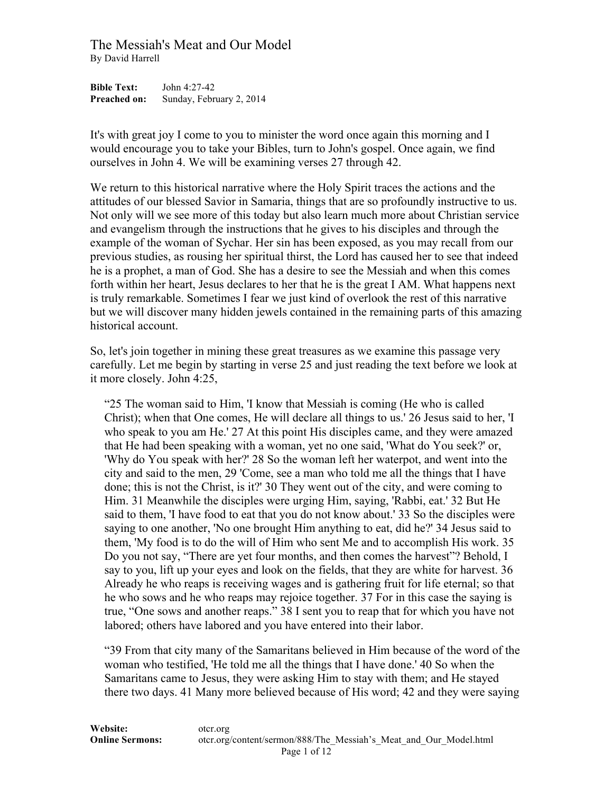**Bible Text:** John 4:27-42 **Preached on:** Sunday, February 2, 2014

It's with great joy I come to you to minister the word once again this morning and I would encourage you to take your Bibles, turn to John's gospel. Once again, we find ourselves in John 4. We will be examining verses 27 through 42.

We return to this historical narrative where the Holy Spirit traces the actions and the attitudes of our blessed Savior in Samaria, things that are so profoundly instructive to us. Not only will we see more of this today but also learn much more about Christian service and evangelism through the instructions that he gives to his disciples and through the example of the woman of Sychar. Her sin has been exposed, as you may recall from our previous studies, as rousing her spiritual thirst, the Lord has caused her to see that indeed he is a prophet, a man of God. She has a desire to see the Messiah and when this comes forth within her heart, Jesus declares to her that he is the great I AM. What happens next is truly remarkable. Sometimes I fear we just kind of overlook the rest of this narrative but we will discover many hidden jewels contained in the remaining parts of this amazing historical account.

So, let's join together in mining these great treasures as we examine this passage very carefully. Let me begin by starting in verse 25 and just reading the text before we look at it more closely. John 4:25,

"25 The woman said to Him, 'I know that Messiah is coming (He who is called Christ); when that One comes, He will declare all things to us.' 26 Jesus said to her, 'I who speak to you am He.' 27 At this point His disciples came, and they were amazed that He had been speaking with a woman, yet no one said, 'What do You seek?' or, 'Why do You speak with her?' 28 So the woman left her waterpot, and went into the city and said to the men, 29 'Come, see a man who told me all the things that I have done; this is not the Christ, is it?' 30 They went out of the city, and were coming to Him. 31 Meanwhile the disciples were urging Him, saying, 'Rabbi, eat.' 32 But He said to them, 'I have food to eat that you do not know about.' 33 So the disciples were saying to one another, 'No one brought Him anything to eat, did he?' 34 Jesus said to them, 'My food is to do the will of Him who sent Me and to accomplish His work. 35 Do you not say, "There are yet four months, and then comes the harvest"? Behold, I say to you, lift up your eyes and look on the fields, that they are white for harvest. 36 Already he who reaps is receiving wages and is gathering fruit for life eternal; so that he who sows and he who reaps may rejoice together. 37 For in this case the saying is true, "One sows and another reaps." 38 I sent you to reap that for which you have not labored; others have labored and you have entered into their labor.

"39 From that city many of the Samaritans believed in Him because of the word of the woman who testified, 'He told me all the things that I have done.' 40 So when the Samaritans came to Jesus, they were asking Him to stay with them; and He stayed there two days. 41 Many more believed because of His word; 42 and they were saying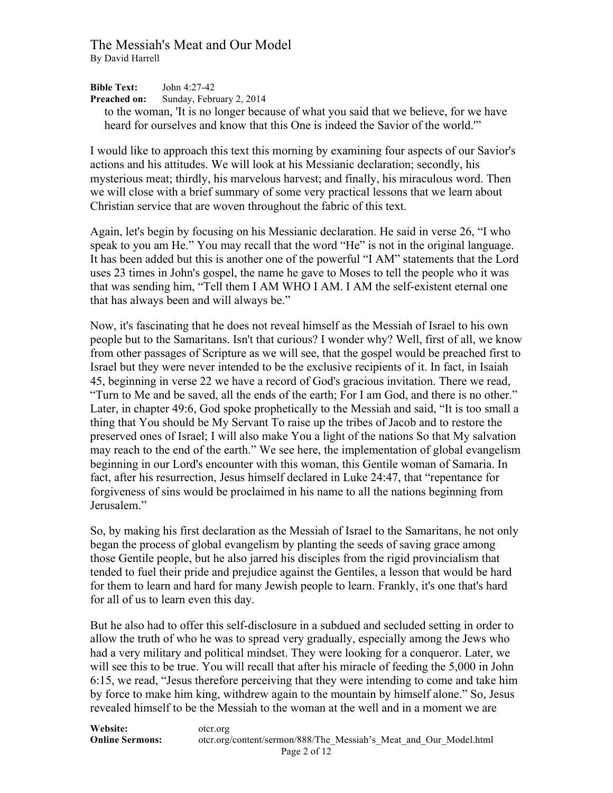**Bible Text:** John 4:27-42 **Preached on:** Sunday, February 2, 2014 to the woman, 'It is no longer because of what you said that we believe, for we have heard for ourselves and know that this One is indeed the Savior of the world.'"

I would like to approach this text this morning by examining four aspects of our Savior's actions and his attitudes. We will look at his Messianic declaration; secondly, his mysterious meat; thirdly, his marvelous harvest; and finally, his miraculous word. Then we will close with a brief summary of some very practical lessons that we learn about Christian service that are woven throughout the fabric of this text.

Again, let's begin by focusing on his Messianic declaration. He said in verse 26, "I who speak to you am He." You may recall that the word "He" is not in the original language. It has been added but this is another one of the powerful "I AM" statements that the Lord uses 23 times in John's gospel, the name he gave to Moses to tell the people who it was that was sending him, "Tell them I AM WHO I AM. I AM the self-existent eternal one that has always been and will always be."

Now, it's fascinating that he does not reveal himself as the Messiah of Israel to his own people but to the Samaritans. Isn't that curious? I wonder why? Well, first of all, we know from other passages of Scripture as we will see, that the gospel would be preached first to Israel but they were never intended to be the exclusive recipients of it. In fact, in Isaiah 45, beginning in verse 22 we have a record of God's gracious invitation. There we read, "Turn to Me and be saved, all the ends of the earth; For I am God, and there is no other." Later, in chapter 49:6, God spoke prophetically to the Messiah and said, "It is too small a thing that You should be My Servant To raise up the tribes of Jacob and to restore the preserved ones of Israel; I will also make You a light of the nations So that My salvation may reach to the end of the earth." We see here, the implementation of global evangelism beginning in our Lord's encounter with this woman, this Gentile woman of Samaria. In fact, after his resurrection, Jesus himself declared in Luke 24:47, that "repentance for forgiveness of sins would be proclaimed in his name to all the nations beginning from Jerusalem<sup>"</sup>

So, by making his first declaration as the Messiah of Israel to the Samaritans, he not only began the process of global evangelism by planting the seeds of saving grace among those Gentile people, but he also jarred his disciples from the rigid provincialism that tended to fuel their pride and prejudice against the Gentiles, a lesson that would be hard for them to learn and hard for many Jewish people to learn. Frankly, it's one that's hard for all of us to learn even this day.

But he also had to offer this self-disclosure in a subdued and secluded setting in order to allow the truth of who he was to spread very gradually, especially among the Jews who had a very military and political mindset. They were looking for a conqueror. Later, we will see this to be true. You will recall that after his miracle of feeding the 5,000 in John 6:15, we read, "Jesus therefore perceiving that they were intending to come and take him by force to make him king, withdrew again to the mountain by himself alone." So, Jesus revealed himself to be the Messiah to the woman at the well and in a moment we are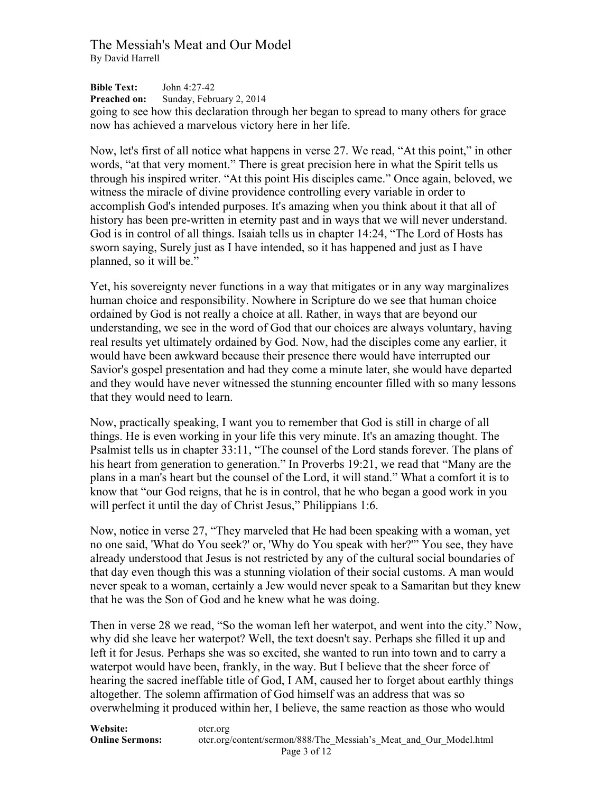**Bible Text:** John 4:27-42 **Preached on:** Sunday, February 2, 2014 going to see how this declaration through her began to spread to many others for grace now has achieved a marvelous victory here in her life.

Now, let's first of all notice what happens in verse 27. We read, "At this point," in other words, "at that very moment." There is great precision here in what the Spirit tells us through his inspired writer. "At this point His disciples came." Once again, beloved, we witness the miracle of divine providence controlling every variable in order to accomplish God's intended purposes. It's amazing when you think about it that all of history has been pre-written in eternity past and in ways that we will never understand. God is in control of all things. Isaiah tells us in chapter 14:24, "The Lord of Hosts has sworn saying, Surely just as I have intended, so it has happened and just as I have planned, so it will be."

Yet, his sovereignty never functions in a way that mitigates or in any way marginalizes human choice and responsibility. Nowhere in Scripture do we see that human choice ordained by God is not really a choice at all. Rather, in ways that are beyond our understanding, we see in the word of God that our choices are always voluntary, having real results yet ultimately ordained by God. Now, had the disciples come any earlier, it would have been awkward because their presence there would have interrupted our Savior's gospel presentation and had they come a minute later, she would have departed and they would have never witnessed the stunning encounter filled with so many lessons that they would need to learn.

Now, practically speaking, I want you to remember that God is still in charge of all things. He is even working in your life this very minute. It's an amazing thought. The Psalmist tells us in chapter 33:11, "The counsel of the Lord stands forever. The plans of his heart from generation to generation." In Proverbs 19:21, we read that "Many are the plans in a man's heart but the counsel of the Lord, it will stand." What a comfort it is to know that "our God reigns, that he is in control, that he who began a good work in you will perfect it until the day of Christ Jesus," Philippians 1:6.

Now, notice in verse 27, "They marveled that He had been speaking with a woman, yet no one said, 'What do You seek?' or, 'Why do You speak with her?'" You see, they have already understood that Jesus is not restricted by any of the cultural social boundaries of that day even though this was a stunning violation of their social customs. A man would never speak to a woman, certainly a Jew would never speak to a Samaritan but they knew that he was the Son of God and he knew what he was doing.

Then in verse 28 we read, "So the woman left her waterpot, and went into the city." Now, why did she leave her waterpot? Well, the text doesn't say. Perhaps she filled it up and left it for Jesus. Perhaps she was so excited, she wanted to run into town and to carry a waterpot would have been, frankly, in the way. But I believe that the sheer force of hearing the sacred ineffable title of God, I AM, caused her to forget about earthly things altogether. The solemn affirmation of God himself was an address that was so overwhelming it produced within her, I believe, the same reaction as those who would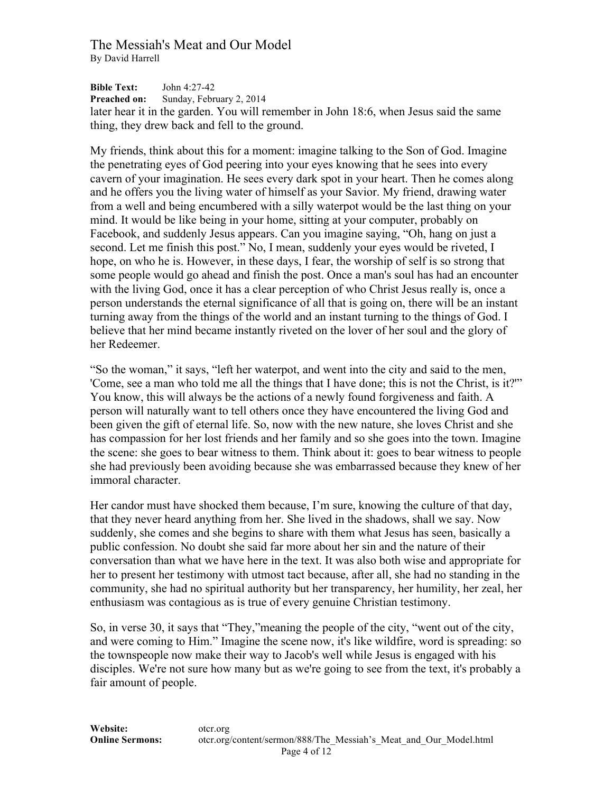**Bible Text:** John 4:27-42 **Preached on:** Sunday, February 2, 2014 later hear it in the garden. You will remember in John 18:6, when Jesus said the same thing, they drew back and fell to the ground.

My friends, think about this for a moment: imagine talking to the Son of God. Imagine the penetrating eyes of God peering into your eyes knowing that he sees into every cavern of your imagination. He sees every dark spot in your heart. Then he comes along and he offers you the living water of himself as your Savior. My friend, drawing water from a well and being encumbered with a silly waterpot would be the last thing on your mind. It would be like being in your home, sitting at your computer, probably on Facebook, and suddenly Jesus appears. Can you imagine saying, "Oh, hang on just a second. Let me finish this post." No, I mean, suddenly your eyes would be riveted, I hope, on who he is. However, in these days, I fear, the worship of self is so strong that some people would go ahead and finish the post. Once a man's soul has had an encounter with the living God, once it has a clear perception of who Christ Jesus really is, once a person understands the eternal significance of all that is going on, there will be an instant turning away from the things of the world and an instant turning to the things of God. I believe that her mind became instantly riveted on the lover of her soul and the glory of her Redeemer.

"So the woman," it says, "left her waterpot, and went into the city and said to the men, 'Come, see a man who told me all the things that I have done; this is not the Christ, is it?'" You know, this will always be the actions of a newly found forgiveness and faith. A person will naturally want to tell others once they have encountered the living God and been given the gift of eternal life. So, now with the new nature, she loves Christ and she has compassion for her lost friends and her family and so she goes into the town. Imagine the scene: she goes to bear witness to them. Think about it: goes to bear witness to people she had previously been avoiding because she was embarrassed because they knew of her immoral character.

Her candor must have shocked them because, I'm sure, knowing the culture of that day, that they never heard anything from her. She lived in the shadows, shall we say. Now suddenly, she comes and she begins to share with them what Jesus has seen, basically a public confession. No doubt she said far more about her sin and the nature of their conversation than what we have here in the text. It was also both wise and appropriate for her to present her testimony with utmost tact because, after all, she had no standing in the community, she had no spiritual authority but her transparency, her humility, her zeal, her enthusiasm was contagious as is true of every genuine Christian testimony.

So, in verse 30, it says that "They,"meaning the people of the city, "went out of the city, and were coming to Him." Imagine the scene now, it's like wildfire, word is spreading: so the townspeople now make their way to Jacob's well while Jesus is engaged with his disciples. We're not sure how many but as we're going to see from the text, it's probably a fair amount of people.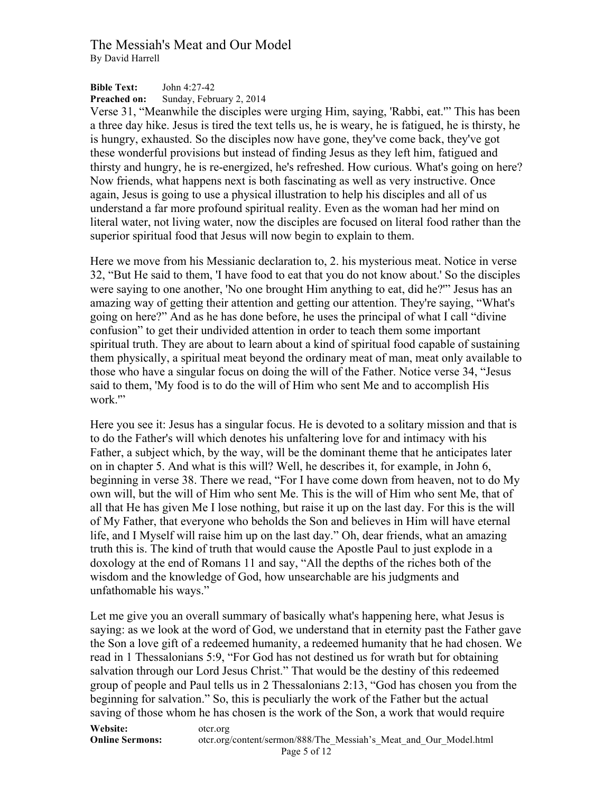**Bible Text:** John 4:27-42 **Preached on:** Sunday, February 2, 2014

Verse 31, "Meanwhile the disciples were urging Him, saying, 'Rabbi, eat.'" This has been a three day hike. Jesus is tired the text tells us, he is weary, he is fatigued, he is thirsty, he is hungry, exhausted. So the disciples now have gone, they've come back, they've got these wonderful provisions but instead of finding Jesus as they left him, fatigued and thirsty and hungry, he is re-energized, he's refreshed. How curious. What's going on here? Now friends, what happens next is both fascinating as well as very instructive. Once again, Jesus is going to use a physical illustration to help his disciples and all of us understand a far more profound spiritual reality. Even as the woman had her mind on literal water, not living water, now the disciples are focused on literal food rather than the superior spiritual food that Jesus will now begin to explain to them.

Here we move from his Messianic declaration to, 2. his mysterious meat. Notice in verse 32, "But He said to them, 'I have food to eat that you do not know about.' So the disciples were saying to one another, 'No one brought Him anything to eat, did he?'" Jesus has an amazing way of getting their attention and getting our attention. They're saying, "What's going on here?" And as he has done before, he uses the principal of what I call "divine confusion" to get their undivided attention in order to teach them some important spiritual truth. They are about to learn about a kind of spiritual food capable of sustaining them physically, a spiritual meat beyond the ordinary meat of man, meat only available to those who have a singular focus on doing the will of the Father. Notice verse 34, "Jesus said to them, 'My food is to do the will of Him who sent Me and to accomplish His work.'"

Here you see it: Jesus has a singular focus. He is devoted to a solitary mission and that is to do the Father's will which denotes his unfaltering love for and intimacy with his Father, a subject which, by the way, will be the dominant theme that he anticipates later on in chapter 5. And what is this will? Well, he describes it, for example, in John 6, beginning in verse 38. There we read, "For I have come down from heaven, not to do My own will, but the will of Him who sent Me. This is the will of Him who sent Me, that of all that He has given Me I lose nothing, but raise it up on the last day. For this is the will of My Father, that everyone who beholds the Son and believes in Him will have eternal life, and I Myself will raise him up on the last day." Oh, dear friends, what an amazing truth this is. The kind of truth that would cause the Apostle Paul to just explode in a doxology at the end of Romans 11 and say, "All the depths of the riches both of the wisdom and the knowledge of God, how unsearchable are his judgments and unfathomable his ways."

Let me give you an overall summary of basically what's happening here, what Jesus is saying: as we look at the word of God, we understand that in eternity past the Father gave the Son a love gift of a redeemed humanity, a redeemed humanity that he had chosen. We read in 1 Thessalonians 5:9, "For God has not destined us for wrath but for obtaining salvation through our Lord Jesus Christ." That would be the destiny of this redeemed group of people and Paul tells us in 2 Thessalonians 2:13, "God has chosen you from the beginning for salvation." So, this is peculiarly the work of the Father but the actual saving of those whom he has chosen is the work of the Son, a work that would require

**Website:** otcr.org **Online Sermons:** otcr.org/content/sermon/888/The Messiah's Meat and Our Model.html Page 5 of 12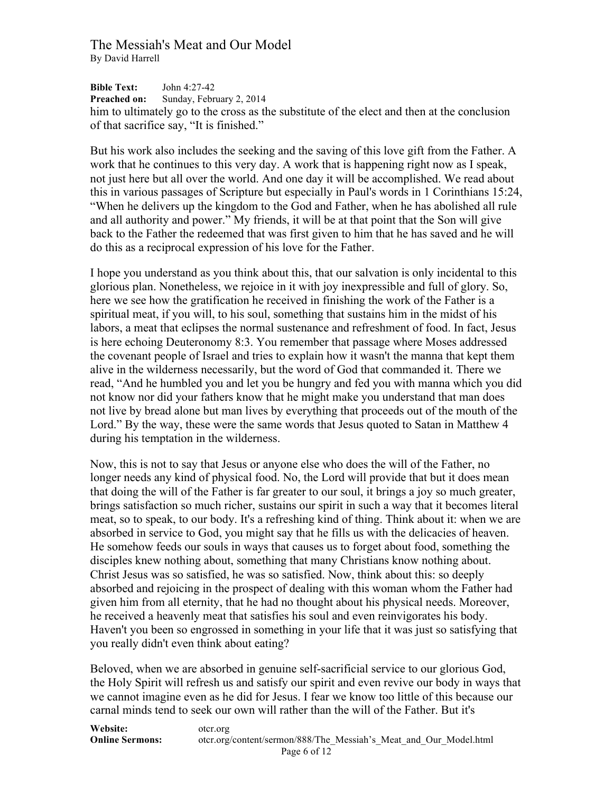**Bible Text:** John 4:27-42 **Preached on:** Sunday, February 2, 2014 him to ultimately go to the cross as the substitute of the elect and then at the conclusion of that sacrifice say, "It is finished."

But his work also includes the seeking and the saving of this love gift from the Father. A work that he continues to this very day. A work that is happening right now as I speak, not just here but all over the world. And one day it will be accomplished. We read about this in various passages of Scripture but especially in Paul's words in 1 Corinthians 15:24, "When he delivers up the kingdom to the God and Father, when he has abolished all rule and all authority and power." My friends, it will be at that point that the Son will give back to the Father the redeemed that was first given to him that he has saved and he will do this as a reciprocal expression of his love for the Father.

I hope you understand as you think about this, that our salvation is only incidental to this glorious plan. Nonetheless, we rejoice in it with joy inexpressible and full of glory. So, here we see how the gratification he received in finishing the work of the Father is a spiritual meat, if you will, to his soul, something that sustains him in the midst of his labors, a meat that eclipses the normal sustenance and refreshment of food. In fact, Jesus is here echoing Deuteronomy 8:3. You remember that passage where Moses addressed the covenant people of Israel and tries to explain how it wasn't the manna that kept them alive in the wilderness necessarily, but the word of God that commanded it. There we read, "And he humbled you and let you be hungry and fed you with manna which you did not know nor did your fathers know that he might make you understand that man does not live by bread alone but man lives by everything that proceeds out of the mouth of the Lord." By the way, these were the same words that Jesus quoted to Satan in Matthew 4 during his temptation in the wilderness.

Now, this is not to say that Jesus or anyone else who does the will of the Father, no longer needs any kind of physical food. No, the Lord will provide that but it does mean that doing the will of the Father is far greater to our soul, it brings a joy so much greater, brings satisfaction so much richer, sustains our spirit in such a way that it becomes literal meat, so to speak, to our body. It's a refreshing kind of thing. Think about it: when we are absorbed in service to God, you might say that he fills us with the delicacies of heaven. He somehow feeds our souls in ways that causes us to forget about food, something the disciples knew nothing about, something that many Christians know nothing about. Christ Jesus was so satisfied, he was so satisfied. Now, think about this: so deeply absorbed and rejoicing in the prospect of dealing with this woman whom the Father had given him from all eternity, that he had no thought about his physical needs. Moreover, he received a heavenly meat that satisfies his soul and even reinvigorates his body. Haven't you been so engrossed in something in your life that it was just so satisfying that you really didn't even think about eating?

Beloved, when we are absorbed in genuine self-sacrificial service to our glorious God, the Holy Spirit will refresh us and satisfy our spirit and even revive our body in ways that we cannot imagine even as he did for Jesus. I fear we know too little of this because our carnal minds tend to seek our own will rather than the will of the Father. But it's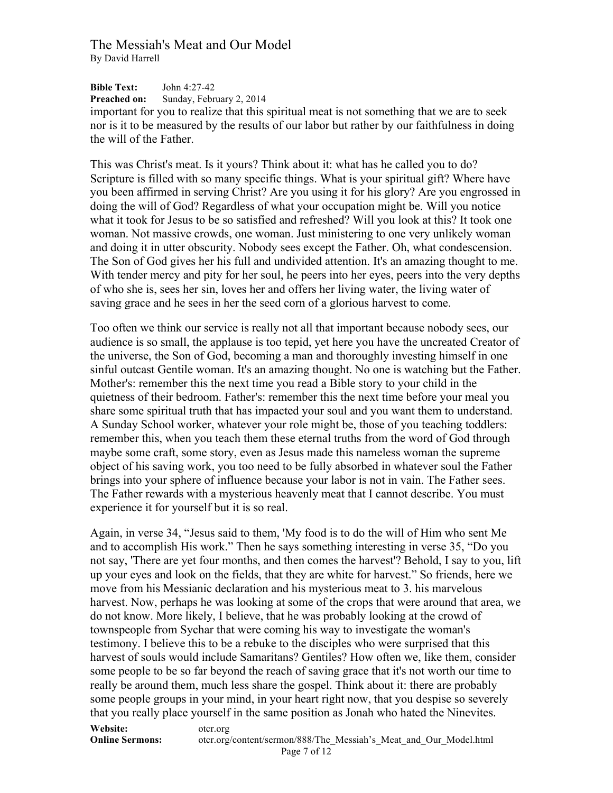**Bible Text:** John 4:27-42 **Preached on:** Sunday, February 2, 2014

important for you to realize that this spiritual meat is not something that we are to seek nor is it to be measured by the results of our labor but rather by our faithfulness in doing the will of the Father.

This was Christ's meat. Is it yours? Think about it: what has he called you to do? Scripture is filled with so many specific things. What is your spiritual gift? Where have you been affirmed in serving Christ? Are you using it for his glory? Are you engrossed in doing the will of God? Regardless of what your occupation might be. Will you notice what it took for Jesus to be so satisfied and refreshed? Will you look at this? It took one woman. Not massive crowds, one woman. Just ministering to one very unlikely woman and doing it in utter obscurity. Nobody sees except the Father. Oh, what condescension. The Son of God gives her his full and undivided attention. It's an amazing thought to me. With tender mercy and pity for her soul, he peers into her eyes, peers into the very depths of who she is, sees her sin, loves her and offers her living water, the living water of saving grace and he sees in her the seed corn of a glorious harvest to come.

Too often we think our service is really not all that important because nobody sees, our audience is so small, the applause is too tepid, yet here you have the uncreated Creator of the universe, the Son of God, becoming a man and thoroughly investing himself in one sinful outcast Gentile woman. It's an amazing thought. No one is watching but the Father. Mother's: remember this the next time you read a Bible story to your child in the quietness of their bedroom. Father's: remember this the next time before your meal you share some spiritual truth that has impacted your soul and you want them to understand. A Sunday School worker, whatever your role might be, those of you teaching toddlers: remember this, when you teach them these eternal truths from the word of God through maybe some craft, some story, even as Jesus made this nameless woman the supreme object of his saving work, you too need to be fully absorbed in whatever soul the Father brings into your sphere of influence because your labor is not in vain. The Father sees. The Father rewards with a mysterious heavenly meat that I cannot describe. You must experience it for yourself but it is so real.

Again, in verse 34, "Jesus said to them, 'My food is to do the will of Him who sent Me and to accomplish His work." Then he says something interesting in verse 35, "Do you not say, 'There are yet four months, and then comes the harvest'? Behold, I say to you, lift up your eyes and look on the fields, that they are white for harvest." So friends, here we move from his Messianic declaration and his mysterious meat to 3. his marvelous harvest. Now, perhaps he was looking at some of the crops that were around that area, we do not know. More likely, I believe, that he was probably looking at the crowd of townspeople from Sychar that were coming his way to investigate the woman's testimony. I believe this to be a rebuke to the disciples who were surprised that this harvest of souls would include Samaritans? Gentiles? How often we, like them, consider some people to be so far beyond the reach of saving grace that it's not worth our time to really be around them, much less share the gospel. Think about it: there are probably some people groups in your mind, in your heart right now, that you despise so severely that you really place yourself in the same position as Jonah who hated the Ninevites.

**Website:** otcr.org

**Online Sermons:** otcr.org/content/sermon/888/The Messiah's Meat and Our Model.html Page 7 of 12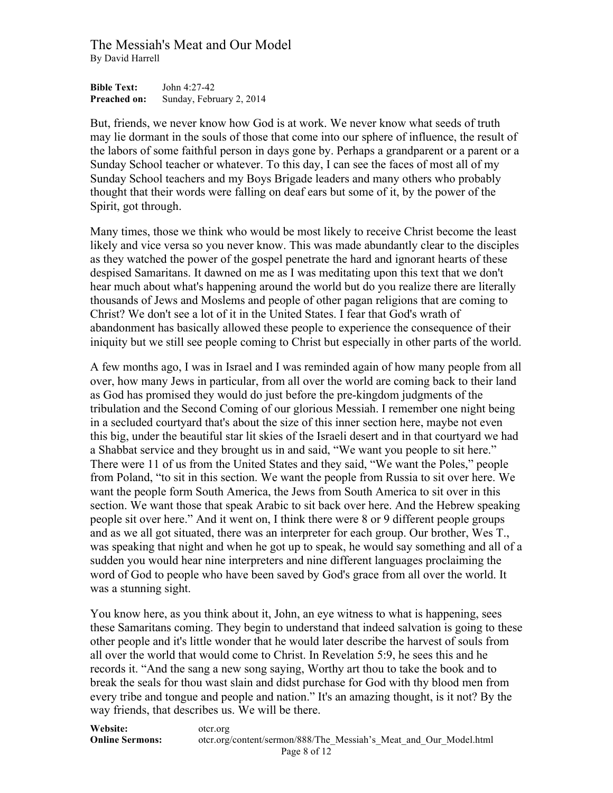**Bible Text:** John 4:27-42 **Preached on:** Sunday, February 2, 2014

But, friends, we never know how God is at work. We never know what seeds of truth may lie dormant in the souls of those that come into our sphere of influence, the result of the labors of some faithful person in days gone by. Perhaps a grandparent or a parent or a Sunday School teacher or whatever. To this day, I can see the faces of most all of my Sunday School teachers and my Boys Brigade leaders and many others who probably thought that their words were falling on deaf ears but some of it, by the power of the Spirit, got through.

Many times, those we think who would be most likely to receive Christ become the least likely and vice versa so you never know. This was made abundantly clear to the disciples as they watched the power of the gospel penetrate the hard and ignorant hearts of these despised Samaritans. It dawned on me as I was meditating upon this text that we don't hear much about what's happening around the world but do you realize there are literally thousands of Jews and Moslems and people of other pagan religions that are coming to Christ? We don't see a lot of it in the United States. I fear that God's wrath of abandonment has basically allowed these people to experience the consequence of their iniquity but we still see people coming to Christ but especially in other parts of the world.

A few months ago, I was in Israel and I was reminded again of how many people from all over, how many Jews in particular, from all over the world are coming back to their land as God has promised they would do just before the pre-kingdom judgments of the tribulation and the Second Coming of our glorious Messiah. I remember one night being in a secluded courtyard that's about the size of this inner section here, maybe not even this big, under the beautiful star lit skies of the Israeli desert and in that courtyard we had a Shabbat service and they brought us in and said, "We want you people to sit here." There were 11 of us from the United States and they said, "We want the Poles," people from Poland, "to sit in this section. We want the people from Russia to sit over here. We want the people form South America, the Jews from South America to sit over in this section. We want those that speak Arabic to sit back over here. And the Hebrew speaking people sit over here." And it went on, I think there were 8 or 9 different people groups and as we all got situated, there was an interpreter for each group. Our brother, Wes T., was speaking that night and when he got up to speak, he would say something and all of a sudden you would hear nine interpreters and nine different languages proclaiming the word of God to people who have been saved by God's grace from all over the world. It was a stunning sight.

You know here, as you think about it, John, an eye witness to what is happening, sees these Samaritans coming. They begin to understand that indeed salvation is going to these other people and it's little wonder that he would later describe the harvest of souls from all over the world that would come to Christ. In Revelation 5:9, he sees this and he records it. "And the sang a new song saying, Worthy art thou to take the book and to break the seals for thou wast slain and didst purchase for God with thy blood men from every tribe and tongue and people and nation." It's an amazing thought, is it not? By the way friends, that describes us. We will be there.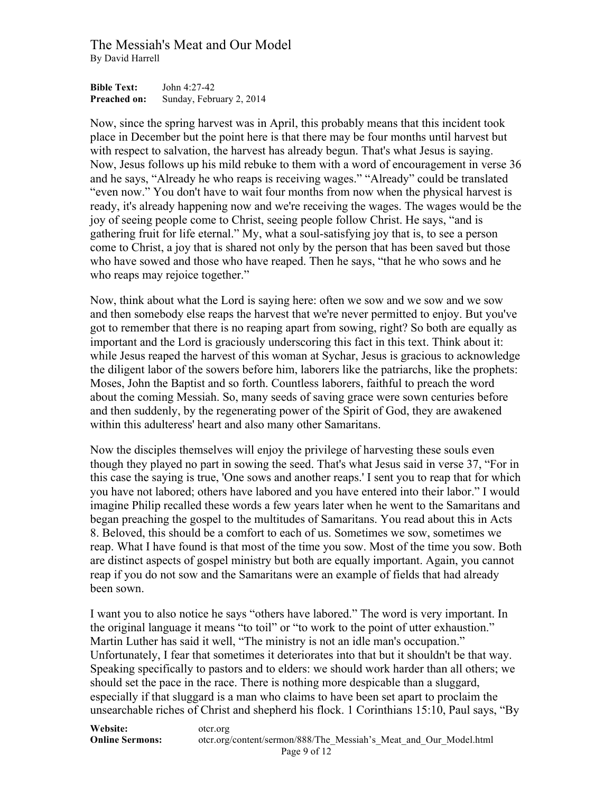**Bible Text:** John 4:27-42 **Preached on:** Sunday, February 2, 2014

Now, since the spring harvest was in April, this probably means that this incident took place in December but the point here is that there may be four months until harvest but with respect to salvation, the harvest has already begun. That's what Jesus is saying. Now, Jesus follows up his mild rebuke to them with a word of encouragement in verse 36 and he says, "Already he who reaps is receiving wages." "Already" could be translated "even now." You don't have to wait four months from now when the physical harvest is ready, it's already happening now and we're receiving the wages. The wages would be the joy of seeing people come to Christ, seeing people follow Christ. He says, "and is gathering fruit for life eternal." My, what a soul-satisfying joy that is, to see a person come to Christ, a joy that is shared not only by the person that has been saved but those who have sowed and those who have reaped. Then he says, "that he who sows and he who reaps may rejoice together."

Now, think about what the Lord is saying here: often we sow and we sow and we sow and then somebody else reaps the harvest that we're never permitted to enjoy. But you've got to remember that there is no reaping apart from sowing, right? So both are equally as important and the Lord is graciously underscoring this fact in this text. Think about it: while Jesus reaped the harvest of this woman at Sychar, Jesus is gracious to acknowledge the diligent labor of the sowers before him, laborers like the patriarchs, like the prophets: Moses, John the Baptist and so forth. Countless laborers, faithful to preach the word about the coming Messiah. So, many seeds of saving grace were sown centuries before and then suddenly, by the regenerating power of the Spirit of God, they are awakened within this adulteress' heart and also many other Samaritans.

Now the disciples themselves will enjoy the privilege of harvesting these souls even though they played no part in sowing the seed. That's what Jesus said in verse 37, "For in this case the saying is true, 'One sows and another reaps.' I sent you to reap that for which you have not labored; others have labored and you have entered into their labor." I would imagine Philip recalled these words a few years later when he went to the Samaritans and began preaching the gospel to the multitudes of Samaritans. You read about this in Acts 8. Beloved, this should be a comfort to each of us. Sometimes we sow, sometimes we reap. What I have found is that most of the time you sow. Most of the time you sow. Both are distinct aspects of gospel ministry but both are equally important. Again, you cannot reap if you do not sow and the Samaritans were an example of fields that had already been sown.

I want you to also notice he says "others have labored." The word is very important. In the original language it means "to toil" or "to work to the point of utter exhaustion." Martin Luther has said it well, "The ministry is not an idle man's occupation." Unfortunately, I fear that sometimes it deteriorates into that but it shouldn't be that way. Speaking specifically to pastors and to elders: we should work harder than all others; we should set the pace in the race. There is nothing more despicable than a sluggard, especially if that sluggard is a man who claims to have been set apart to proclaim the unsearchable riches of Christ and shepherd his flock. 1 Corinthians 15:10, Paul says, "By

| <b>Website:</b>        | otcr.org                                                          |
|------------------------|-------------------------------------------------------------------|
| <b>Online Sermons:</b> | oter.org/content/sermon/888/The Messiah's Meat and Our Model.html |
|                        | Page 9 of 12                                                      |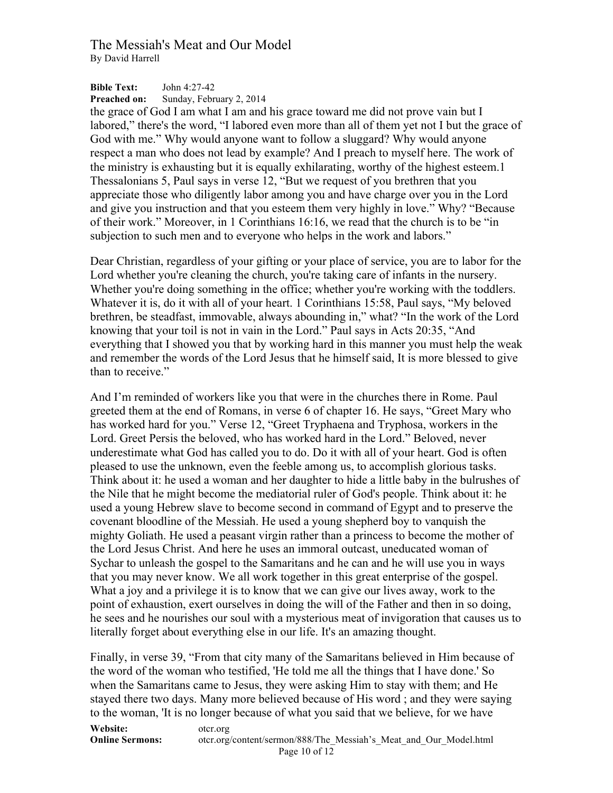**Bible Text:** John 4:27-42 **Preached on:** Sunday, February 2, 2014

the grace of God I am what I am and his grace toward me did not prove vain but I labored," there's the word, "I labored even more than all of them yet not I but the grace of God with me." Why would anyone want to follow a sluggard? Why would anyone respect a man who does not lead by example? And I preach to myself here. The work of the ministry is exhausting but it is equally exhilarating, worthy of the highest esteem.1 Thessalonians 5, Paul says in verse 12, "But we request of you brethren that you appreciate those who diligently labor among you and have charge over you in the Lord and give you instruction and that you esteem them very highly in love." Why? "Because of their work." Moreover, in 1 Corinthians 16:16, we read that the church is to be "in subjection to such men and to everyone who helps in the work and labors."

Dear Christian, regardless of your gifting or your place of service, you are to labor for the Lord whether you're cleaning the church, you're taking care of infants in the nursery. Whether you're doing something in the office; whether you're working with the toddlers. Whatever it is, do it with all of your heart. 1 Corinthians 15:58, Paul says, "My beloved brethren, be steadfast, immovable, always abounding in," what? "In the work of the Lord knowing that your toil is not in vain in the Lord." Paul says in Acts 20:35, "And everything that I showed you that by working hard in this manner you must help the weak and remember the words of the Lord Jesus that he himself said, It is more blessed to give than to receive."

And I'm reminded of workers like you that were in the churches there in Rome. Paul greeted them at the end of Romans, in verse 6 of chapter 16. He says, "Greet Mary who has worked hard for you." Verse 12, "Greet Tryphaena and Tryphosa, workers in the Lord. Greet Persis the beloved, who has worked hard in the Lord." Beloved, never underestimate what God has called you to do. Do it with all of your heart. God is often pleased to use the unknown, even the feeble among us, to accomplish glorious tasks. Think about it: he used a woman and her daughter to hide a little baby in the bulrushes of the Nile that he might become the mediatorial ruler of God's people. Think about it: he used a young Hebrew slave to become second in command of Egypt and to preserve the covenant bloodline of the Messiah. He used a young shepherd boy to vanquish the mighty Goliath. He used a peasant virgin rather than a princess to become the mother of the Lord Jesus Christ. And here he uses an immoral outcast, uneducated woman of Sychar to unleash the gospel to the Samaritans and he can and he will use you in ways that you may never know. We all work together in this great enterprise of the gospel. What a joy and a privilege it is to know that we can give our lives away, work to the point of exhaustion, exert ourselves in doing the will of the Father and then in so doing, he sees and he nourishes our soul with a mysterious meat of invigoration that causes us to literally forget about everything else in our life. It's an amazing thought.

Finally, in verse 39, "From that city many of the Samaritans believed in Him because of the word of the woman who testified, 'He told me all the things that I have done.' So when the Samaritans came to Jesus, they were asking Him to stay with them; and He stayed there two days. Many more believed because of His word ; and they were saying to the woman, 'It is no longer because of what you said that we believe, for we have

**Website:** otcr.org **Online Sermons:** otcr.org/content/sermon/888/The Messiah's Meat and Our Model.html Page 10 of 12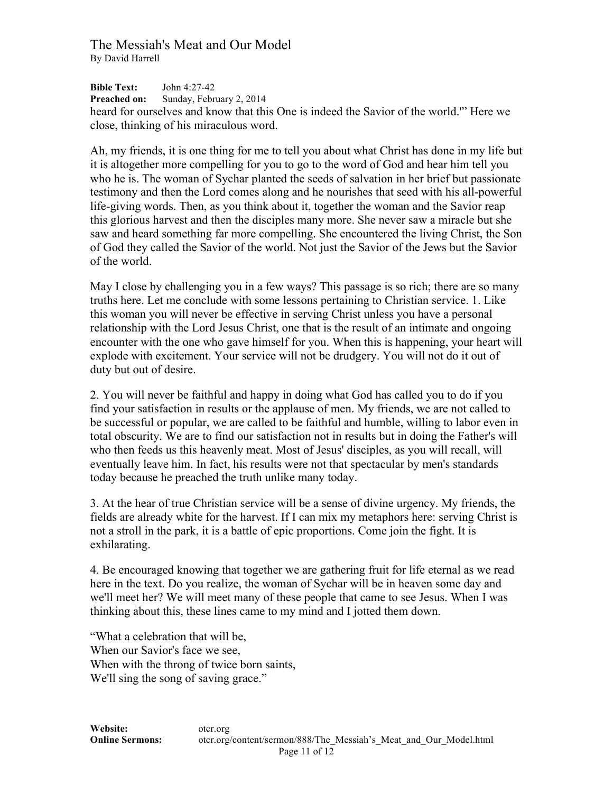**Bible Text:** John 4:27-42 **Preached on:** Sunday, February 2, 2014 heard for ourselves and know that this One is indeed the Savior of the world.'" Here we close, thinking of his miraculous word.

Ah, my friends, it is one thing for me to tell you about what Christ has done in my life but it is altogether more compelling for you to go to the word of God and hear him tell you who he is. The woman of Sychar planted the seeds of salvation in her brief but passionate testimony and then the Lord comes along and he nourishes that seed with his all-powerful life-giving words. Then, as you think about it, together the woman and the Savior reap this glorious harvest and then the disciples many more. She never saw a miracle but she saw and heard something far more compelling. She encountered the living Christ, the Son of God they called the Savior of the world. Not just the Savior of the Jews but the Savior of the world.

May I close by challenging you in a few ways? This passage is so rich; there are so many truths here. Let me conclude with some lessons pertaining to Christian service. 1. Like this woman you will never be effective in serving Christ unless you have a personal relationship with the Lord Jesus Christ, one that is the result of an intimate and ongoing encounter with the one who gave himself for you. When this is happening, your heart will explode with excitement. Your service will not be drudgery. You will not do it out of duty but out of desire.

2. You will never be faithful and happy in doing what God has called you to do if you find your satisfaction in results or the applause of men. My friends, we are not called to be successful or popular, we are called to be faithful and humble, willing to labor even in total obscurity. We are to find our satisfaction not in results but in doing the Father's will who then feeds us this heavenly meat. Most of Jesus' disciples, as you will recall, will eventually leave him. In fact, his results were not that spectacular by men's standards today because he preached the truth unlike many today.

3. At the hear of true Christian service will be a sense of divine urgency. My friends, the fields are already white for the harvest. If I can mix my metaphors here: serving Christ is not a stroll in the park, it is a battle of epic proportions. Come join the fight. It is exhilarating.

4. Be encouraged knowing that together we are gathering fruit for life eternal as we read here in the text. Do you realize, the woman of Sychar will be in heaven some day and we'll meet her? We will meet many of these people that came to see Jesus. When I was thinking about this, these lines came to my mind and I jotted them down.

"What a celebration that will be, When our Savior's face we see, When with the throng of twice born saints, We'll sing the song of saving grace."